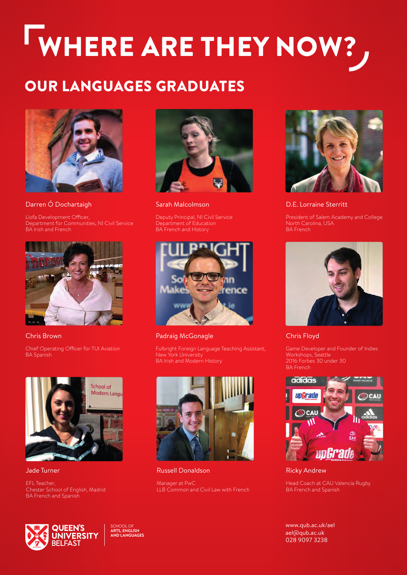# WHERE ARE THEY NOW?

### OUR LANGUAGES GRADUATES



Darren Ó Dochartaigh

Líofa Development Officer, Department for Communities, NI Civil Service BA Irish and French



Chris Brown

Chief Operating Officer for TUI Aviation BA Spanish



Jade Turner

EFL Teacher, Chester School of English, Madrid BA French and Spanish



Sarah Malcolmson

Deputy Principal, NI Civil Service Department of Education BA French and History



Padraig McGonagle

Fulbright Foreign Language Teaching Assistant, **New York University** BA Irish and Modern History



Russell Donaldson

Manager at PwC LLB Common and Civil Law with French



D.E. Lorraine Sterritt

President of Salem Academy and College



#### Chris Floyd

Game Developer and Founder of Indies Workshops, Seattle 2016 Forbes 30 under 30 BA French



Ricky Andrew

Head Coach at CAU Valencia Rugby BA French and Spanish

[www.qub.ac.uk/ael](http://www.qub.ac.uk/ael)  [ael@qub.ac.uk](mailto:ael@qub.ac.uk)  028 9097 3238



SCHOOL OF **ARTS, ENGLISH AND LANGUAGES**